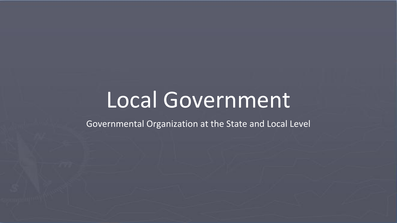# Local Government

Governmental Organization at the State and Local Level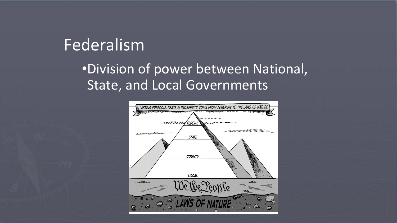#### Federalism

#### •Division of power between National, State, and Local Governments

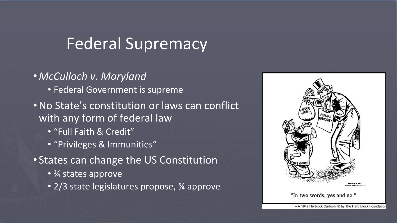## Federal Supremacy

- *• McCulloch v*. *Maryland* • Federal Government is supreme
- •No State's constitution or laws can conflict with any form of federal law
	- "Full Faith & Credit"
	- "Privileges & Immunities"
- States can change the US Constitution
	- 3⁄4 states approve
	- 2/3 state legislatures propose, 3/4 approve



"In two words, yes and no."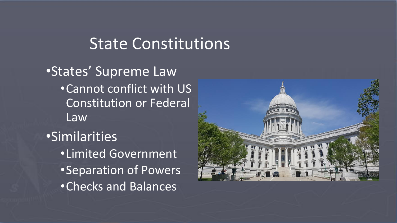#### State Constitutions

•States' Supreme Law •Cannot conflict with US Constitution or Federal Law •Similarities •Limited Government •Separation of Powers •Checks and Balances

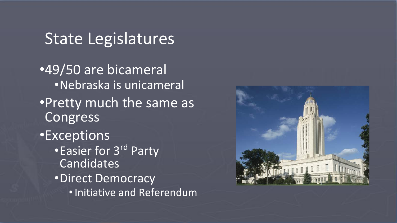### State Legislatures

•49/50 are bicameral •Nebraska is unicameral •Pretty much the same as Congress •Exceptions • Easier for 3<sup>rd</sup> Party Candidates •Direct Democracy •Initiative and Referendum

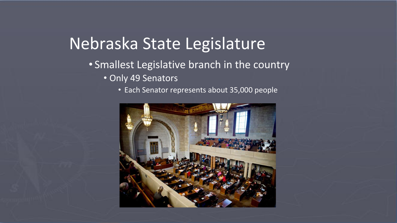## Nebraska State Legislature

#### • Smallest Legislative branch in the country • Only 49 Senators

• Each Senator represents about 35,000 people

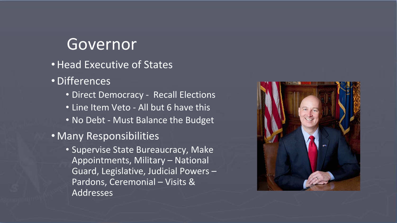#### Governor

- •Head Executive of States
- •Differences
	- Direct Democracy Recall Elections
	- Line Item Veto All but 6 have this
	- No Debt Must Balance the Budget
- Many Responsibilities
	- Supervise State Bureaucracy, Make Appointments, Military – National Guard, Legislative, Judicial Powers – Pardons, Ceremonial – Visits & Addresses

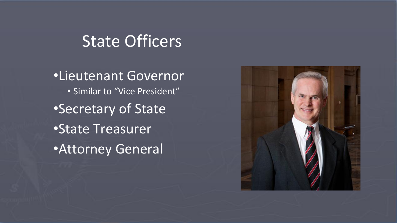#### State Officers

•Lieutenant Governor • Similar to "Vice President" •Secretary of State •State Treasurer •Attorney General

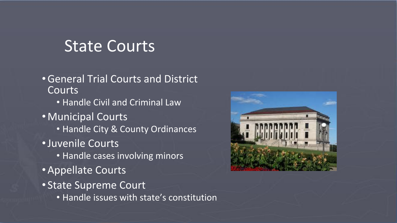#### State Courts

- •General Trial Courts and District **Courts** 
	- Handle Civil and Criminal Law
- Municipal Courts
	- Handle City & County Ordinances
- •Juvenile Courts
	- Handle cases involving minors
- •Appellate Courts
- State Supreme Court
	- Handle issues with state's constitution

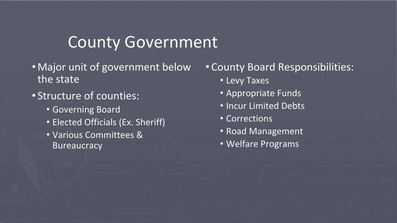#### County Government

- Major unit of government below the state
- Structure of counties:
	- Governing Board
	- Elected Officials (Ex. Sheriff)
	- Various Committees & **Bureaucracy**

#### • County Board Responsibilities:

- Levy Taxes
- Appropriate Funds
- Incur Limited Debts
- Corrections
- Road Management
- Welfare Programs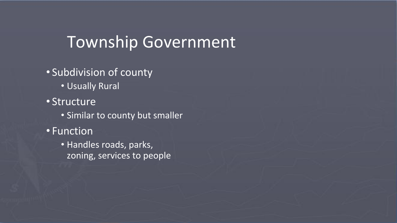#### Township Government

- Subdivision of county
	- Usually Rural
- Structure
	- **Similar to county but smaller**
- Function
	- Handles roads, parks, zoning, services to people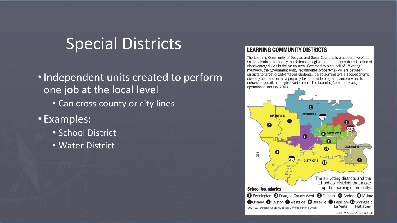#### Special Districts

•Independent units created to perform one job at the local level

- Can cross county or city lines
- Examples:
	- School District
	- Water District

#### **LEARNING COMMUNITY DISTRICTS**

The Learning Community of Douglas and Sarpy Counties is a cooperative of 11 school districts created by the Nebraska Legislature to enhance the education of disadvantaged kids in the metro area. Governed by a council of 18 voting members, the government entity redistributes property tax dollars between districts to target disadvantaged students. It also administers a socioeconomic diversity plan and levies a property tax to provide programs and services to enhance education in high-poverty areas. The Learning Community began operation in January 2009.

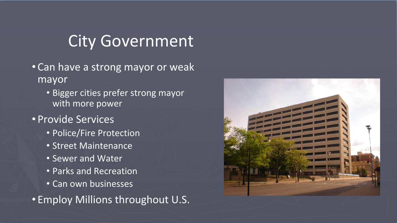### City Government

- Can have a strong mayor or weak mayor
	- Bigger cities prefer strong mayor with more power
- Provide Services
	- Police/Fire Protection
	- Street Maintenance
	- Sewer and Water
	- Parks and Recreation
	- Can own businesses

• Employ Millions throughout U.S.